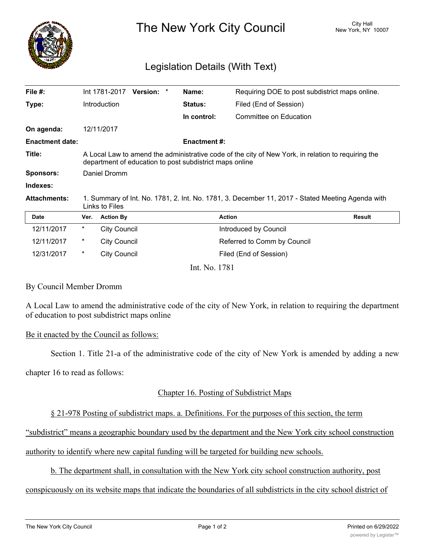

The New York City Council New York, NY 10007

# Legislation Details (With Text)

|                                                                                                                                                               |                        |                                                    |                                            | Name:          | Requiring DOE to post subdistrict maps online. |                                                                                              |
|---------------------------------------------------------------------------------------------------------------------------------------------------------------|------------------------|----------------------------------------------------|--------------------------------------------|----------------|------------------------------------------------|----------------------------------------------------------------------------------------------|
|                                                                                                                                                               |                        |                                                    |                                            | <b>Status:</b> | Filed (End of Session)                         |                                                                                              |
|                                                                                                                                                               |                        |                                                    |                                            | In control:    | Committee on Education                         |                                                                                              |
|                                                                                                                                                               |                        |                                                    |                                            |                |                                                |                                                                                              |
|                                                                                                                                                               |                        |                                                    |                                            |                |                                                |                                                                                              |
| A Local Law to amend the administrative code of the city of New York, in relation to requiring the<br>department of education to post subdistrict maps online |                        |                                                    |                                            |                |                                                |                                                                                              |
| Daniel Dromm                                                                                                                                                  |                        |                                                    |                                            |                |                                                |                                                                                              |
|                                                                                                                                                               |                        |                                                    |                                            |                |                                                |                                                                                              |
| 1. Summary of Int. No. 1781, 2. Int. No. 1781, 3. December 11, 2017 - Stated Meeting Agenda with<br>Links to Files                                            |                        |                                                    |                                            |                |                                                |                                                                                              |
| Ver.                                                                                                                                                          | <b>Action By</b>       |                                                    |                                            |                |                                                | <b>Result</b>                                                                                |
| *                                                                                                                                                             |                        |                                                    |                                            |                |                                                |                                                                                              |
| $\ast$                                                                                                                                                        |                        |                                                    |                                            |                |                                                |                                                                                              |
| *                                                                                                                                                             | <b>City Council</b>    |                                                    |                                            |                | Filed (End of Session)                         |                                                                                              |
|                                                                                                                                                               | <b>Enactment date:</b> | Int 1781-2017<br><b>Introduction</b><br>12/11/2017 | <b>City Council</b><br><b>City Council</b> | Version: *     |                                                | <b>Enactment #:</b><br><b>Action</b><br>Introduced by Council<br>Referred to Comm by Council |

Int. No. 1781

#### By Council Member Dromm

A Local Law to amend the administrative code of the city of New York, in relation to requiring the department of education to post subdistrict maps online

#### Be it enacted by the Council as follows:

Section 1. Title 21-a of the administrative code of the city of New York is amended by adding a new

chapter 16 to read as follows:

## Chapter 16. Posting of Subdistrict Maps

## § 21-978 Posting of subdistrict maps. a. Definitions. For the purposes of this section, the term

"subdistrict" means a geographic boundary used by the department and the New York city school construction

authority to identify where new capital funding will be targeted for building new schools.

## b. The department shall, in consultation with the New York city school construction authority, post

conspicuously on its website maps that indicate the boundaries of all subdistricts in the city school district of